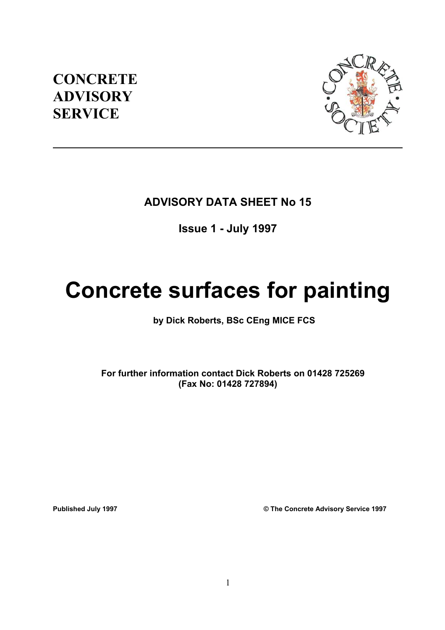## **CONCRETE ADVISORY SERVICE**



## **ADVISORY DATA SHEET No 15**

## **Issue 1 - July 1997**

# **Concrete surfaces for painting**

### **by Dick Roberts, BSc CEng MICE FCS**

 **For further information contact Dick Roberts on 01428 725269 (Fax No: 01428 727894)** 

**Published July 1997 © The Concrete Advisory Service 1997**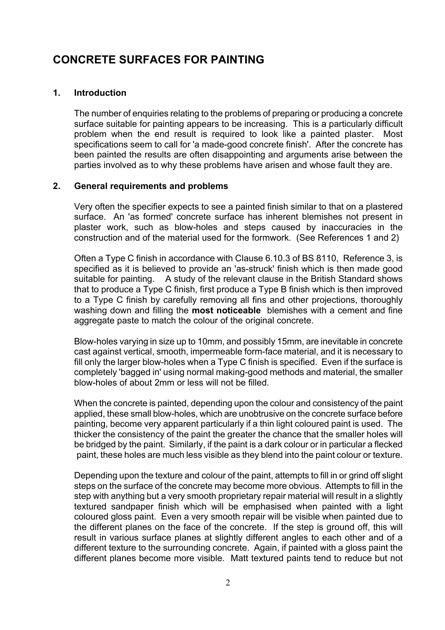## **CONCRETE SURFACES FOR PAINTING**

#### **1. Introduction**

The number of enquiries relating to the problems of preparing or producing a concrete surface suitable for painting appears to be increasing. This is a particularly difficult problem when the end result is required to look like a painted plaster. Most specifications seem to call for 'a made-good concrete finish'. After the concrete has been painted the results are often disappointing and arguments arise between the parties involved as to why these problems have arisen and whose fault they are.

#### **2. General requirements and problems**

Very often the specifier expects to see a painted finish similar to that on a plastered surface. An 'as formed' concrete surface has inherent blemishes not present in plaster work, such as blow-holes and steps caused by inaccuracies in the construction and of the material used for the formwork. (See References 1 and 2)

Often a Type C finish in accordance with Clause 6.10.3 of BS 8110, Reference 3, is specified as it is believed to provide an 'as-struck' finish which is then made good suitable for painting. A study of the relevant clause in the British Standard shows that to produce a Type C finish, first produce a Type B finish which is then improved to a Type C finish by carefully removing all fins and other projections, thoroughly washing down and filling the **most noticeable** blemishes with a cement and fine aggregate paste to match the colour of the original concrete.

Blow-holes varying in size up to 10mm, and possibly 15mm, are inevitable in concrete cast against vertical, smooth, impermeable form-face material, and it is necessary to fill only the larger blow-holes when a Type C finish is specified. Even if the surface is completely 'bagged in' using normal making-good methods and material, the smaller blow-holes of about 2mm or less will not be filled.

When the concrete is painted, depending upon the colour and consistency of the paint applied, these small blow-holes, which are unobtrusive on the concrete surface before painting, become very apparent particularly if a thin light coloured paint is used. The thicker the consistency of the paint the greater the chance that the smaller holes will be bridged by the paint. Similarly, if the paint is a dark colour or in particular a flecked paint, these holes are much less visible as they blend into the paint colour or texture.

Depending upon the texture and colour of the paint, attempts to fill in or grind off slight steps on the surface of the concrete may become more obvious. Attempts to fill in the step with anything but a very smooth proprietary repair material will result in a slightly textured sandpaper finish which will be emphasised when painted with a light coloured gloss paint. Even a very smooth repair will be visible when painted due to the different planes on the face of the concrete. If the step is ground off, this will result in various surface planes at slightly different angles to each other and of a different texture to the surrounding concrete. Again, if painted with a gloss paint the different planes become more visible. Matt textured paints tend to reduce but not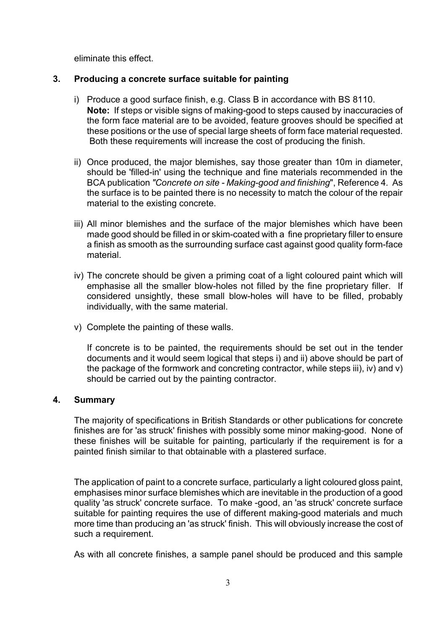eliminate this effect.

#### **3. Producing a concrete surface suitable for painting**

- i) Produce a good surface finish, e.g. Class B in accordance with BS 8110. **Note:** If steps or visible signs of making-good to steps caused by inaccuracies of the form face material are to be avoided, feature grooves should be specified at these positions or the use of special large sheets of form face material requested. Both these requirements will increase the cost of producing the finish.
- ii) Once produced, the major blemishes, say those greater than 10m in diameter, should be 'filled-in' using the technique and fine materials recommended in the BCA publication *"Concrete on site - Making-good and finishing*", Reference 4*.* As the surface is to be painted there is no necessity to match the colour of the repair material to the existing concrete.
- iii) All minor blemishes and the surface of the major blemishes which have been made good should be filled in or skim-coated with a fine proprietary filler to ensure a finish as smooth as the surrounding surface cast against good quality form-face material.
- iv) The concrete should be given a priming coat of a light coloured paint which will emphasise all the smaller blow-holes not filled by the fine proprietary filler. If considered unsightly, these small blow-holes will have to be filled, probably individually, with the same material.
- v) Complete the painting of these walls.

If concrete is to be painted, the requirements should be set out in the tender documents and it would seem logical that steps i) and ii) above should be part of the package of the formwork and concreting contractor, while steps iii), iv) and v) should be carried out by the painting contractor.

#### **4. Summary**

The majority of specifications in British Standards or other publications for concrete finishes are for 'as struck' finishes with possibly some minor making-good. None of these finishes will be suitable for painting, particularly if the requirement is for a painted finish similar to that obtainable with a plastered surface.

The application of paint to a concrete surface, particularly a light coloured gloss paint, emphasises minor surface blemishes which are inevitable in the production of a good quality 'as struck' concrete surface. To make -good, an 'as struck' concrete surface suitable for painting requires the use of different making-good materials and much more time than producing an 'as struck' finish. This will obviously increase the cost of such a requirement.

As with all concrete finishes, a sample panel should be produced and this sample